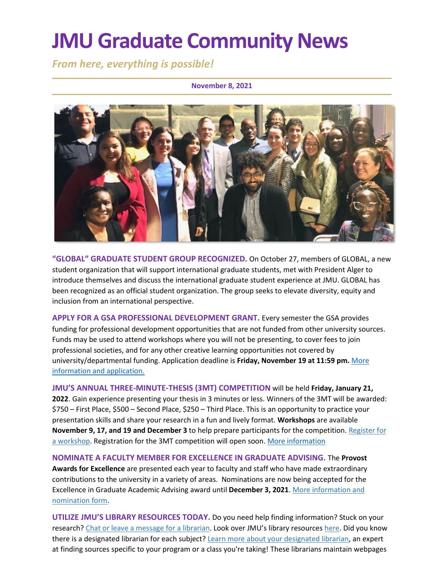# **JMU Graduate Community News**

*From here, everything is possible!*

#### **November 8, 2021**



**"GLOBAL" GRADUATE STUDENT GROUP RECOGNIZED.** On October 27, members of GLOBAL, a new student organization that will support international graduate students, met with President Alger to introduce themselves and discuss the international graduate student experience at JMU. GLOBAL has been recognized as an official student organization. The group seeks to elevate diversity, equity and inclusion from an international perspective.

**APPLY FOR A GSA PROFESSIONAL DEVELOPMENT GRANT.** Every semester the GSA provides funding for professional development opportunities that are not funded from other university sources. Funds may be used to attend workshops where you will not be presenting, to cover fees to join professional societies, and for any other creative learning opportunities not covered by university/departmental funding. Application deadline is **Friday, November 19 at 11:59 pm.** [More](https://www.jmu.edu/grad/graduate-student-life/gsa.shtml)  [information and application.](https://www.jmu.edu/grad/graduate-student-life/gsa.shtml)

**JMU'S ANNUAL THREE-MINUTE-THESIS (3MT) COMPETITION** will be held **Friday, January 21, 2022**. Gain experience presenting your thesis in 3 minutes or less. Winners of the 3MT will be awarded: \$750 – First Place, \$500 – Second Place, \$250 – Third Place. This is an opportunity to practice your presentation skills and share your research in a fun and lively format. **Workshops** are available **November 9, 17, and 19 and December 3** to help prepare participants for the competition. [Register for](https://docs.google.com/forms/d/e/1FAIpQLSe-zi-2joV2dbuDoYXTP_1GJOW8YqdG-wZ7gjNuQSOG5gFcHg/viewform)  [a workshop.](https://docs.google.com/forms/d/e/1FAIpQLSe-zi-2joV2dbuDoYXTP_1GJOW8YqdG-wZ7gjNuQSOG5gFcHg/viewform) Registration for the 3MT competition will open soon[. More information](https://www.jmu.edu/grad/current-students/three-minute-thesis.shtml)

**NOMINATE A FACULTY MEMBER FOR EXCELLENCE IN GRADUATE ADVISING.** The **Provost Awards for Excellence** are presented each year to faculty and staff who have made extraordinary contributions to the university in a variety of areas. Nominations are now being accepted for the Excellence in Graduate Academic Advising award until **December 3, 2021**[. More information and](https://www.jmu.edu/advising/award/index.shtml)  [nomination form.](https://www.jmu.edu/advising/award/index.shtml)

**UTILIZE JMU'S LIBRARY RESOURCES TODAY.** Do you need help finding information? Stuck on your research? [Chat or leave a message for a librarian.](https://www.lib.jmu.edu/ask/) Look over JMU's library resources [here.](https://www.lib.jmu.edu/important-info-for-new-graduate-students/) Did you know there is a designated librarian for each subject? [Learn more about your designated librarian,](https://www.lib.jmu.edu/find-it-faster/) an expert at finding sources specific to your program or a class you're taking! These librarians maintain webpages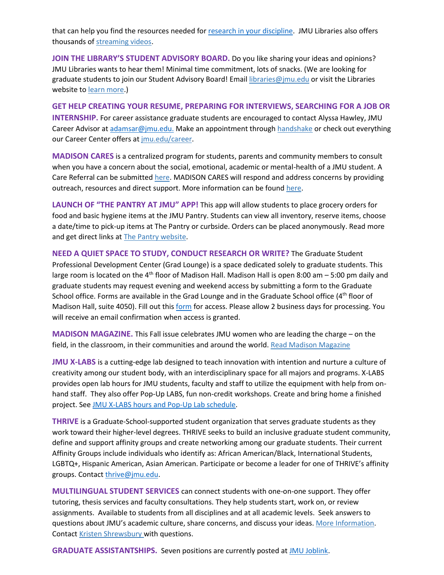that can help you find the resources needed for [research in your discipline.](https://guides.lib.jmu.edu/researchguides) JMU Libraries also offers thousands o[f streaming videos.](https://guides.lib.jmu.edu/az.php?t=24588&utm_source=staff-monthly&utm_medium=email&utm_campaign=2021_01_06&utm_content=text_additional-streaming-video-resources)

**JOIN THE LIBRARY'S STUDENT ADVISORY BOARD.** Do you like sharing your ideas and opinions? JMU Libraries wants to hear them! Minimal time commitment, lots of snacks. (We are looking for graduate students to join our Student Advisory Board! Emai[l libraries@jmu.edu](mailto:libraries@jmu.edu) or visit the Libraries website t[o learn more.](https://www.lib.jmu.edu/join-the-libraries-student-advisory-board/))

**GET HELP CREATING YOUR RESUME, PREPARING FOR INTERVIEWS, SEARCHING FOR A JOB OR INTERNSHIP.** For career assistance graduate students are encouraged to contact Alyssa Hawley, JMU Career Advisor a[t adamsar@jmu.edu.](mailto:adamsar@jmu.edu) Make an appointment throug[h handshake](https://www.jmu.edu/career/handshake/index.shtml) or check out everything our Career Center offers at [jmu.edu/career.](https://www.jmu.edu/career/index.shtml)

**MADISON CARES** is a centralized program for students, parents and community members to consult when you have a concern about the social, emotional, academic or mental-health of a JMU student. A Care Referral can be submitted [here.](https://jmu-advocate.symplicity.com/care_report/index.php/pid970580?) MADISON CARES will respond and address concerns by providing outreach, resources and direct support. More information can be found [here.](https://www.jmu.edu/studentaffairs/departments/deanofstudents/madisoncares/index.shtml)

**LAUNCH OF "THE PANTRY AT JMU" APP!** This app will allow students to place grocery orders for food and basic hygiene items at the JMU Pantry. Students can view all inventory, reserve items, choose a date/time to pick-up items at The Pantry or curbside. Orders can be placed anonymously. Read more and get direct links a[t The Pantry website.](https://info.jmu.edu/ocl/pop-up-pantry/)

**NEED A QUIET SPACE TO STUDY, CONDUCT RESEARCH OR WRITE?** The Graduate Student Professional Development Center (Grad Lounge) is a space dedicated solely to graduate students. This large room is located on the 4<sup>th</sup> floor of Madison Hall. Madison Hall is open 8:00 am  $-$  5:00 pm daily and graduate students may request evening and weekend access by submitting a form to the Graduate School office. Forms are available in the Grad Lounge and in the Graduate School office (4<sup>th</sup> floor of Madison Hall, suite 4050). Fill out thi[s form](https://docs.google.com/forms/d/1h2_NYsip6Pru9uglc526Xk2o7gOOrD63dKPoGIVJEg4/edit?usp=sharing) for access. Please allow 2 business days for processing. You will receive an email confirmation when access is granted.

**MADISON MAGAZINE.** This Fall issue celebrates JMU women who are leading the charge – on the field, in the classroom, in their communities and around the world. [Read Madison Magazine](https://www.jmu.edu/madisonmagazine/index.shtml)

**JMU X-LABS** is a cutting-edge lab designed to teach innovation with intention and nurture a culture of creativity among our student body, with an interdisciplinary space for all majors and programs. X-LABS provides open lab hours for JMU students, faculty and staff to utilize the equipment with help from onhand staff. They also offer Pop-Up LABS, fun non-credit workshops. Create and bring home a finished project. Se[e JMU X-LABS hours and Pop-Up Lab schedule.](https://jmuxlabs.org/open-lab/)

**THRIVE** is a Graduate-School-supported student organization that serves graduate students as they work toward their higher-level degrees. THRIVE seeks to build an inclusive graduate student community, define and support affinity groups and create networking among our graduate students. Their current Affinity Groups include individuals who identify as: African American/Black, International Students, LGBTQ+, Hispanic American, Asian American. Participate or become a leader for one of THRIVE's affinity groups. Contact [thrive@jmu.edu.](mailto:thrive@jmu.edu)

**MULTILINGUAL STUDENT SERVICES** can connect students with one-on-one support. They offer tutoring, thesis services and faculty consultations. They help students start, work on, or review assignments. Available to students from all disciplines and at all academic levels. Seek answers to questions about JMU's academic culture, share concerns, and discuss your ideas. [More Information.](https://www.jmu.edu/learning/multilingual-services/) Contact [Kristen Shrewsbury](mailto:shrewskm@jmu.edu) with questions.

**GRADUATE ASSISTANTSHIPS.** Seven positions are currently posted at [JMU Joblink.](https://joblink.jmu.edu/)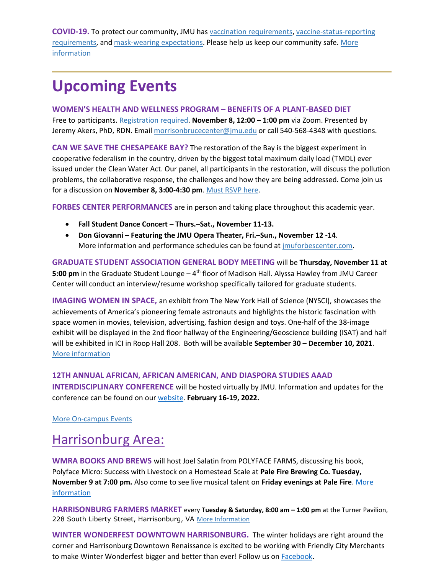**COVID-19.** To protect our community, JMU has [vaccination requirements,](https://www.jmu.edu/stop-the-spread/students/covid-vaccine-faq.shtml) [vaccine-status-reporting](https://www.jmu.edu/stop-the-spread/students/covid-vaccine-faq.shtml#Set-2-A)  [requirements,](https://www.jmu.edu/stop-the-spread/students/covid-vaccine-faq.shtml#Set-2-A) and [mask-wearing expectations.](https://www.jmu.edu/stop-the-spread/students/student-mask-faqs.shtml) Please help us keep our community safe[. More](https://www.jmu.edu/stop-the-spread/index.shtml)  [information](https://www.jmu.edu/stop-the-spread/index.shtml) 

### **Upcoming Events**

**WOMEN'S HEALTH AND WELLNESS PROGRAM – BENEFITS OF A PLANT-BASED DIET** Free to participants[. Registration required.](https://jmu-edu.zoom.us/meeting/register/tZcodeuqrj8pHtx8NHClKpJkkYwFY7X9_nA5) **November 8, 12:00 – 1:00 pm** via Zoom. Presented by Jeremy Akers, PhD, RDN. Email [morrisonbrucecenter@jmu.edu](https://exchange.jmu.edu/owa/morrisonbrucecenter@jmu.edu/14.3.248.2/scripts/premium/redir.aspx?SURL=WDKZconeMRRfyEDPus5kqzl-OJxgMELkh7PvDFtUbjxpwij7Z8jSCG0AYQBpAGwAdABvADoAbQBvAHIAcgBpAHMAbwBuAGIAcgB1AGMAZQBjAGUAbgB0AGUAcgBAAGoAbQB1AC4AZQBkAHUA&URL=mailto%3amorrisonbrucecenter%40jmu.edu) or call 540-568-4348 with questions.

**CAN WE SAVE THE CHESAPEAKE BAY?** The restoration of the Bay is the biggest experiment in cooperative federalism in the country, driven by the biggest total maximum daily load (TMDL) ever issued under the Clean Water Act. Our panel, all participants in the restoration, will discuss the pollution problems, the collaborative response, the challenges and how they are being addressed. Come join us for a discussion on **November 8, 3:00-4:30 pm**[. Must RSVP here.](https://www.epaalumni.com/academy)

**FORBES CENTER PERFORMANCES** are in person and taking place throughout this academic year.

- **Fall Student Dance Concert – Thurs.–Sat., November 11-13.**
- **Don Giovanni – Featuring the JMU Opera Theater, Fri.–Sun., November 12 -14**. More information and performance schedules can be found at [jmuforbescenter.com.](https://jmuforbescenter.com/)

**GRADUATE STUDENT ASSOCIATION GENERAL BODY MEETING** will be **Thursday, November 11 at 5:00 pm** in the Graduate Student Lounge – 4<sup>th</sup> floor of Madison Hall. Alyssa Hawley from JMU Career Center will conduct an interview/resume workshop specifically tailored for graduate students.

**IMAGING WOMEN IN SPACE,** an exhibit from The New York Hall of Science (NYSCI), showcases the achievements of America's pioneering female astronauts and highlights the historic fascination with space women in movies, television, advertising, fashion design and toys. One-half of the 38-image exhibit will be displayed in the 2nd floor hallway of the Engineering/Geoscience building (ISAT) and half will be exhibited in ICI in Roop Hall 208. Both will be available **September 30 – December 10, 2021**. [More information](https://www.jmu.edu/events/ici/2021/09-16-women-space.shtml)

#### **12TH ANNUAL AFRICAN, AFRICAN AMERICAN, AND DIASPORA STUDIES AAAD**

**INTERDISCIPLINARY CONFERENCE** will be hosted virtually by JMU. Information and updates for the conference can be found on our [website.](https://sites.lib.jmu.edu/aaadjmu/) **February 16-19, 2022.**

[More On-campus Events](https://ems.jmu.edu/MasterCalendar/MasterCalendar.aspx?_ga=2.261279492.802742690.1601384782-920476218.1518451077)

### Harrisonburg Area:

**WMRA BOOKS AND BREWS** will host Joel Salatin from POLYFACE FARMS, discussing his book, Polyface Micro: Success with Livestock on a Homestead Scale at **Pale Fire Brewing Co. Tuesday, November 9 at 7:00 pm.** Also come to see live musical talent on **Friday evenings at Pale Fire**. [More](https://www.wmra.org/topic/books-brews#stream/0)  [information](https://www.wmra.org/topic/books-brews#stream/0)

**HARRISONBURG FARMERS MARKET** every **Tuesday & Saturday, 8:00 am – 1:00 pm** at the Turner Pavilion, 228 South Liberty Street, Harrisonburg, VA [More Information](https://www.harrisonburgfarmersmarket.com/)

**WINTER WONDERFEST DOWNTOWN HARRISONBURG.** The winter holidays are right around the corner and Harrisonburg Downtown Renaissance is excited to be working with Friendly City Merchants tomake Winter Wonderfest bigger and better than ever! Follow us on **Facebook**.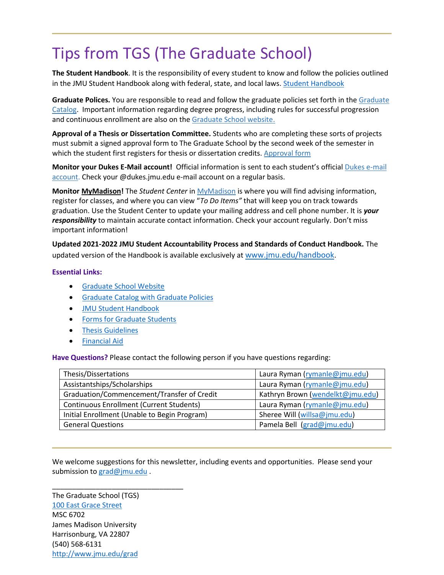## Tips from TGS (The Graduate School)

**The Student Handbook**. It is the responsibility of every student to know and follow the policies outlined in the JMU Student Handbook along with federal, state, and local laws[. Student Handbook](https://www.jmu.edu/osarp/handbook/index.shtml)

**Graduate Polices.** You are responsible to read and follow the graduate policies set forth in the [Graduate](http://jmu.edu/catalog)  [Catalog.](http://jmu.edu/catalog) Important information regarding degree progress, including rules for successful progression and continuous enrollment are also on the [Graduate School website.](https://www.jmu.edu/grad/current-students/degree-progress/index.shtml)

**Approval of a Thesis or Dissertation Committee.** Students who are completing these sorts of projects must submit a signed approval form to The Graduate School by the second week of the semester in which the student first registers for thesis or dissertation credits. [Approval form](https://www.jmu.edu/grad/_files/CommitteeApprovalForm2017-18.pdf)

**Monitor your Dukes E-Mail account!** Official information is sent to each student's official [Dukes e-mail](http://www.jmu.edu/computing/helpdesk/selfhelp/DukesEmail.shtml)  [account.](http://www.jmu.edu/computing/helpdesk/selfhelp/DukesEmail.shtml) Check your @dukes.jmu.edu e-mail account on a regular basis.

**Monitor [MyMadison!](http://mymadison.jmu.edu/)** The *Student Center* in [MyMadison](http://mymadison.jmu.edu/) is where you will find advising information, register for classes, and where you can view "*To Do Items"* that will keep you on track towards graduation. Use the Student Center to update your mailing address and cell phone number. It is *your responsibility* to maintain accurate contact information. Check your account regularly. Don't miss important information!

**Updated 2021-2022 JMU Student Accountability Process and Standards of Conduct Handbook.** The updated version of the Handbook is available exclusively at [www.jmu.edu/handbook](http://www.jmu.edu/handbook).

#### **Essential Links:**

- [Graduate School Website](http://www.jmu.edu/grad)
- [Graduate Catalog with Graduate Policies](http://www.jmu.edu/catalog/index.shtml)
- [JMU Student Handbook](https://www.jmu.edu/osarp/handbook/index.shtml)
- [Forms for Graduate Students](http://www.jmu.edu/grad/current-students/graduate-forms.shtml)
- [Thesis Guidelines](http://www.jmu.edu/grad/current-students/thesis-dissertation/information.shtml)
- [Financial Aid](http://www.jmu.edu/finaid/sap.shtml)

**Have Questions?** Please contact the following person if you have questions regarding:

| Thesis/Dissertations                            | Laura Ryman (rymanle@jmu.edu)    |
|-------------------------------------------------|----------------------------------|
| Assistantships/Scholarships                     | Laura Ryman (rymanle@jmu.edu)    |
| Graduation/Commencement/Transfer of Credit      | Kathryn Brown (wendelkt@jmu.edu) |
| <b>Continuous Enrollment (Current Students)</b> | Laura Ryman (rymanle@jmu.edu)    |
| Initial Enrollment (Unable to Begin Program)    | Sheree Will (willsa@jmu.edu)     |
| <b>General Questions</b>                        | Pamela Bell (grad@jmu.edu)       |

We welcome suggestions for this newsletter, including events and opportunities. Please send your submission to [grad@jmu.edu](mailto:grad@jmu.edu).

The Graduate School (TGS) [100 East Grace Street](http://www.jmu.edu/directory/buildings/MADI.shtml) MSC 6702 James Madison University Harrisonburg, VA 22807 (540) 568-6131 <http://www.jmu.edu/grad>

\_\_\_\_\_\_\_\_\_\_\_\_\_\_\_\_\_\_\_\_\_\_\_\_\_\_\_\_\_\_\_\_\_